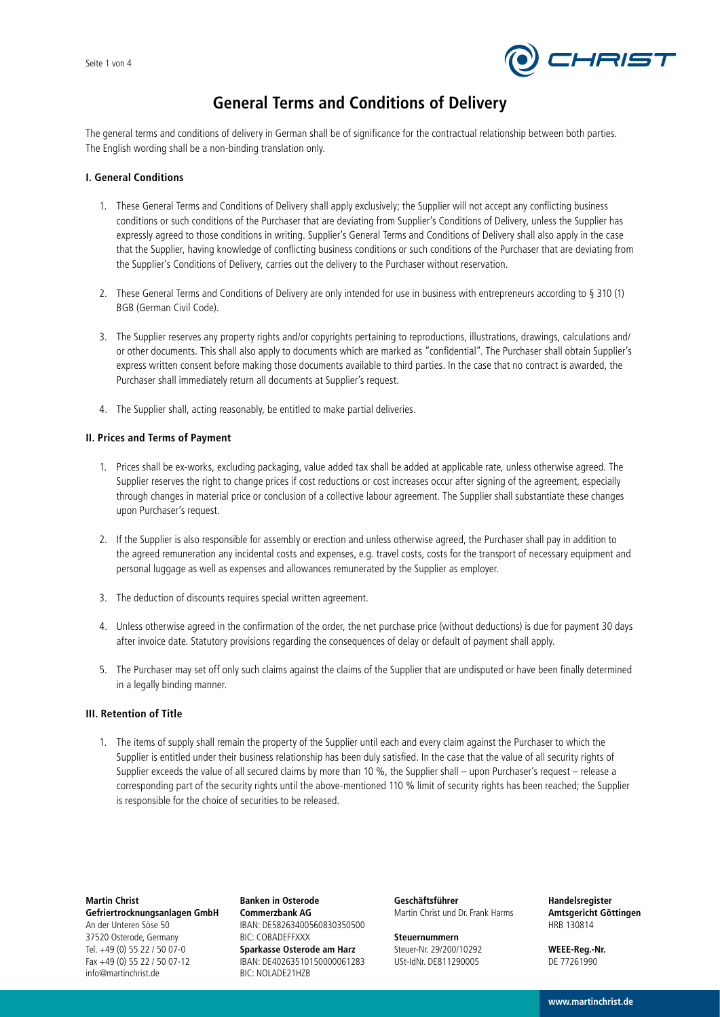

# **General Terms and Conditions of Delivery**

The general terms and conditions of delivery in German shall be of significance for the contractual relationship between both parties. The English wording shall be a non-binding translation only.

# **I. General Conditions**

- 1. These General Terms and Conditions of Delivery shall apply exclusively; the Supplier will not accept any conflicting business conditions or such conditions of the Purchaser that are deviating from Supplier's Conditions of Delivery, unless the Supplier has expressly agreed to those conditions in writing. Supplier's General Terms and Conditions of Delivery shall also apply in the case that the Supplier, having knowledge of conflicting business conditions or such conditions of the Purchaser that are deviating from the Supplier's Conditions of Delivery, carries out the delivery to the Purchaser without reservation.
- 2. These General Terms and Conditions of Delivery are only intended for use in business with entrepreneurs according to § 310 (1) BGB (German Civil Code).
- 3. The Supplier reserves any property rights and/or copyrights pertaining to reproductions, illustrations, drawings, calculations and/ or other documents. This shall also apply to documents which are marked as "confidential". The Purchaser shall obtain Supplier's express written consent before making those documents available to third parties. In the case that no contract is awarded, the Purchaser shall immediately return all documents at Supplier's request.
- 4. The Supplier shall, acting reasonably, be entitled to make partial deliveries.

# **II. Prices and Terms of Payment**

- 1. Prices shall be ex-works, excluding packaging, value added tax shall be added at applicable rate, unless otherwise agreed. The Supplier reserves the right to change prices if cost reductions or cost increases occur after signing of the agreement, especially through changes in material price or conclusion of a collective labour agreement. The Supplier shall substantiate these changes upon Purchaser's request.
- 2. If the Supplier is also responsible for assembly or erection and unless otherwise agreed, the Purchaser shall pay in addition to the agreed remuneration any incidental costs and expenses, e.g. travel costs, costs for the transport of necessary equipment and personal luggage as well as expenses and allowances remunerated by the Supplier as employer.
- 3. The deduction of discounts requires special written agreement.
- 4. Unless otherwise agreed in the confirmation of the order, the net purchase price (without deductions) is due for payment 30 days after invoice date. Statutory provisions regarding the consequences of delay or default of payment shall apply.
- 5. The Purchaser may set off only such claims against the claims of the Supplier that are undisputed or have been finally determined in a legally binding manner.

### **III. Retention of Title**

1. The items of supply shall remain the property of the Supplier until each and every claim against the Purchaser to which the Supplier is entitled under their business relationship has been duly satisfied. In the case that the value of all security rights of Supplier exceeds the value of all secured claims by more than 10 %, the Supplier shall – upon Purchaser's request – release a corresponding part of the security rights until the above-mentioned 110 % limit of security rights has been reached; the Supplier is responsible for the choice of securities to be released.

**Martin Christ Gefriertrocknungsanlagen GmbH** An der Unteren Söse 50 37520 Osterode, Germany Tel. +49 (0) 55 22 / 50 07-0 Fax +49 (0) 55 22 / 50 07-12 info@martinchrist.de

**Banken in Osterode Commerzbank AG** IBAN: DE58263400560830350500 BIC: COBADEFFXXX **Sparkasse Osterode am Harz** IBAN: DE40263510150000061283 BIC: NOLADE21HZB

**Geschäftsführer** Martin Christ und Dr. Frank Harms

**Steuernummern** Steuer-Nr. 29/200/10292 USt-IdNr. DE811290005

**Handelsregister Amtsgericht Göttingen** HRB 130814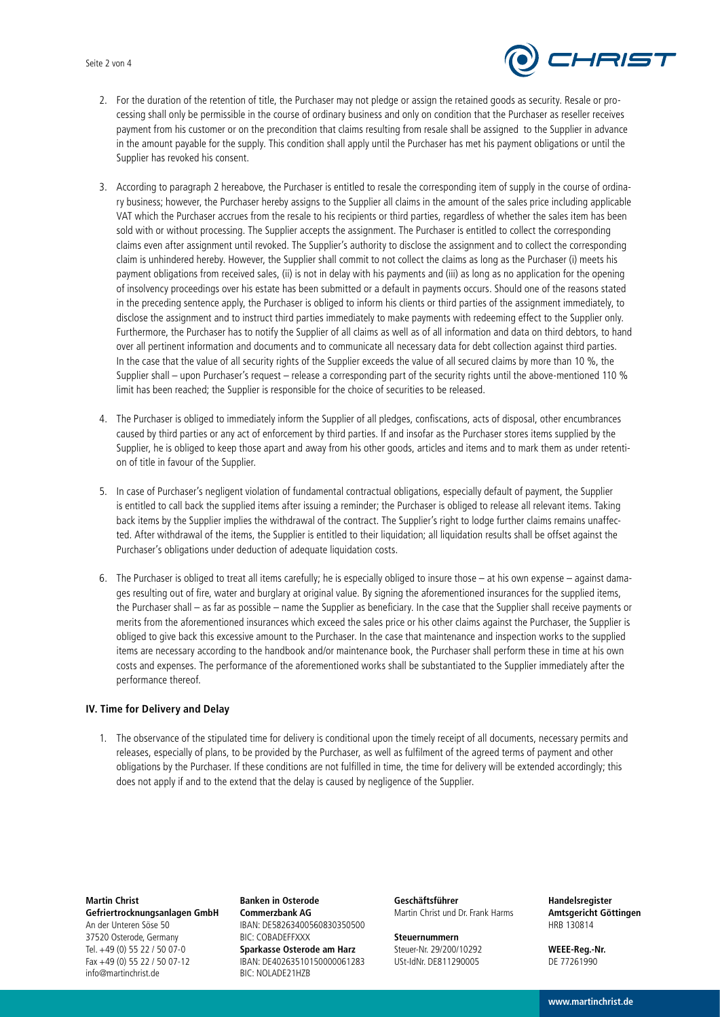#### Seite 2 von 4



- 2. For the duration of the retention of title, the Purchaser may not pledge or assign the retained goods as security. Resale or processing shall only be permissible in the course of ordinary business and only on condition that the Purchaser as reseller receives payment from his customer or on the precondition that claims resulting from resale shall be assigned to the Supplier in advance in the amount payable for the supply. This condition shall apply until the Purchaser has met his payment obligations or until the Supplier has revoked his consent.
- 3. According to paragraph 2 hereabove, the Purchaser is entitled to resale the corresponding item of supply in the course of ordinary business; however, the Purchaser hereby assigns to the Supplier all claims in the amount of the sales price including applicable VAT which the Purchaser accrues from the resale to his recipients or third parties, regardless of whether the sales item has been sold with or without processing. The Supplier accepts the assignment. The Purchaser is entitled to collect the corresponding claims even after assignment until revoked. The Supplier's authority to disclose the assignment and to collect the corresponding claim is unhindered hereby. However, the Supplier shall commit to not collect the claims as long as the Purchaser (i) meets his payment obligations from received sales, (ii) is not in delay with his payments and (iii) as long as no application for the opening of insolvency proceedings over his estate has been submitted or a default in payments occurs. Should one of the reasons stated in the preceding sentence apply, the Purchaser is obliged to inform his clients or third parties of the assignment immediately, to disclose the assignment and to instruct third parties immediately to make payments with redeeming effect to the Supplier only. Furthermore, the Purchaser has to notify the Supplier of all claims as well as of all information and data on third debtors, to hand over all pertinent information and documents and to communicate all necessary data for debt collection against third parties. In the case that the value of all security rights of the Supplier exceeds the value of all secured claims by more than 10 %, the Supplier shall – upon Purchaser's request – release a corresponding part of the security rights until the above-mentioned 110 % limit has been reached; the Supplier is responsible for the choice of securities to be released.
- 4. The Purchaser is obliged to immediately inform the Supplier of all pledges, confiscations, acts of disposal, other encumbrances caused by third parties or any act of enforcement by third parties. If and insofar as the Purchaser stores items supplied by the Supplier, he is obliged to keep those apart and away from his other goods, articles and items and to mark them as under retention of title in favour of the Supplier.
- 5. In case of Purchaser's negligent violation of fundamental contractual obligations, especially default of payment, the Supplier is entitled to call back the supplied items after issuing a reminder; the Purchaser is obliged to release all relevant items. Taking back items by the Supplier implies the withdrawal of the contract. The Supplier's right to lodge further claims remains unaffected. After withdrawal of the items, the Supplier is entitled to their liquidation; all liquidation results shall be offset against the Purchaser's obligations under deduction of adequate liquidation costs.
- 6. The Purchaser is obliged to treat all items carefully; he is especially obliged to insure those at his own expense against damages resulting out of fire, water and burglary at original value. By signing the aforementioned insurances for the supplied items, the Purchaser shall – as far as possible – name the Supplier as beneficiary. In the case that the Supplier shall receive payments or merits from the aforementioned insurances which exceed the sales price or his other claims against the Purchaser, the Supplier is obliged to give back this excessive amount to the Purchaser. In the case that maintenance and inspection works to the supplied items are necessary according to the handbook and/or maintenance book, the Purchaser shall perform these in time at his own costs and expenses. The performance of the aforementioned works shall be substantiated to the Supplier immediately after the performance thereof.

#### **IV. Time for Delivery and Delay**

1. The observance of the stipulated time for delivery is conditional upon the timely receipt of all documents, necessary permits and releases, especially of plans, to be provided by the Purchaser, as well as fulfilment of the agreed terms of payment and other obligations by the Purchaser. If these conditions are not fulfilled in time, the time for delivery will be extended accordingly; this does not apply if and to the extend that the delay is caused by negligence of the Supplier.

**Martin Christ Gefriertrocknungsanlagen GmbH** An der Unteren Söse 50 37520 Osterode, Germany Tel. +49 (0) 55 22 / 50 07-0 Fax +49 (0) 55 22 / 50 07-12 info@martinchrist.de

**Banken in Osterode Commerzbank AG** IBAN: DE58263400560830350500 BIC: COBADEFFXXX **Sparkasse Osterode am Harz** IBAN: DE40263510150000061283 BIC: NOLADE21HZB

**Geschäftsführer** Martin Christ und Dr. Frank Harms

**Steuernummern** Steuer-Nr. 29/200/10292 USt-IdNr. DE811290005

**Handelsregister Amtsgericht Göttingen** HRB 130814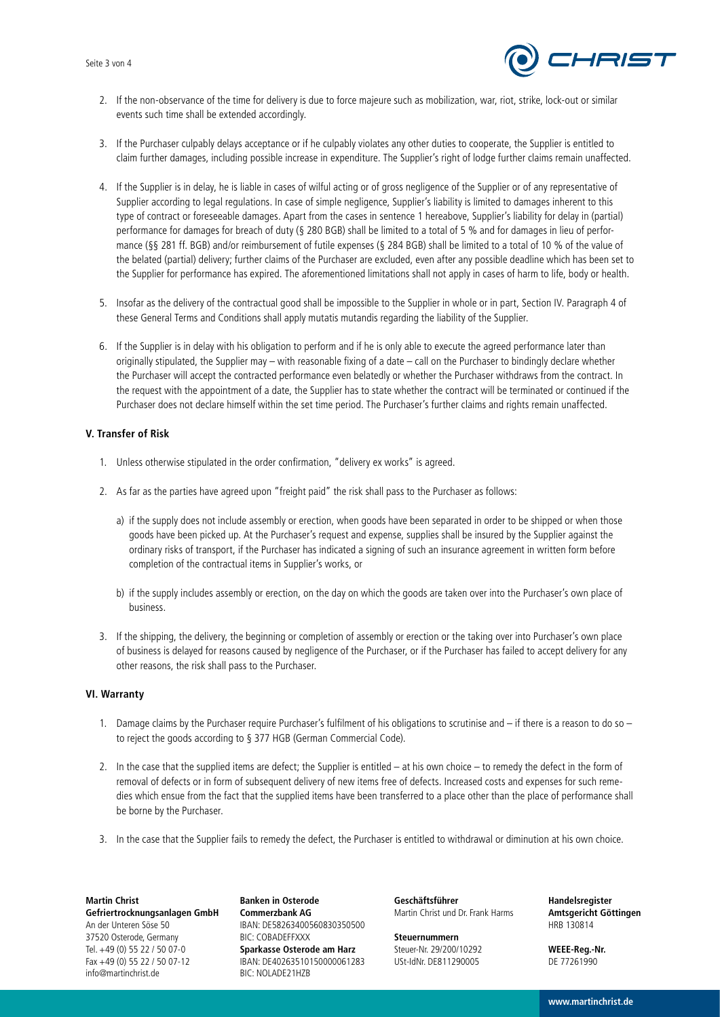

- 2. If the non-observance of the time for delivery is due to force majeure such as mobilization, war, riot, strike, lock-out or similar events such time shall be extended accordingly.
- 3. If the Purchaser culpably delays acceptance or if he culpably violates any other duties to cooperate, the Supplier is entitled to claim further damages, including possible increase in expenditure. The Supplier's right of lodge further claims remain unaffected.
- 4. If the Supplier is in delay, he is liable in cases of wilful acting or of gross negligence of the Supplier or of any representative of Supplier according to legal regulations. In case of simple negligence, Supplier's liability is limited to damages inherent to this type of contract or foreseeable damages. Apart from the cases in sentence 1 hereabove, Supplier's liability for delay in (partial) performance for damages for breach of duty (§ 280 BGB) shall be limited to a total of 5 % and for damages in lieu of performance (§§ 281 ff. BGB) and/or reimbursement of futile expenses (§ 284 BGB) shall be limited to a total of 10 % of the value of the belated (partial) delivery; further claims of the Purchaser are excluded, even after any possible deadline which has been set to the Supplier for performance has expired. The aforementioned limitations shall not apply in cases of harm to life, body or health.
- 5. Insofar as the delivery of the contractual good shall be impossible to the Supplier in whole or in part, Section IV. Paragraph 4 of these General Terms and Conditions shall apply mutatis mutandis regarding the liability of the Supplier.
- 6. If the Supplier is in delay with his obligation to perform and if he is only able to execute the agreed performance later than originally stipulated, the Supplier may – with reasonable fixing of a date – call on the Purchaser to bindingly declare whether the Purchaser will accept the contracted performance even belatedly or whether the Purchaser withdraws from the contract. In the request with the appointment of a date, the Supplier has to state whether the contract will be terminated or continued if the Purchaser does not declare himself within the set time period. The Purchaser's further claims and rights remain unaffected.

# **V. Transfer of Risk**

- 1. Unless otherwise stipulated in the order confirmation, "delivery ex works" is agreed.
- 2. As far as the parties have agreed upon "freight paid" the risk shall pass to the Purchaser as follows:
	- a) if the supply does not include assembly or erection, when goods have been separated in order to be shipped or when those goods have been picked up. At the Purchaser's request and expense, supplies shall be insured by the Supplier against the ordinary risks of transport, if the Purchaser has indicated a signing of such an insurance agreement in written form before completion of the contractual items in Supplier's works, or
	- b) if the supply includes assembly or erection, on the day on which the goods are taken over into the Purchaser's own place of business.
- 3. If the shipping, the delivery, the beginning or completion of assembly or erection or the taking over into Purchaser's own place of business is delayed for reasons caused by negligence of the Purchaser, or if the Purchaser has failed to accept delivery for any other reasons, the risk shall pass to the Purchaser.

#### **VI. Warranty**

- 1. Damage claims by the Purchaser require Purchaser's fulfilment of his obligations to scrutinise and if there is a reason to do so to reject the goods according to § 377 HGB (German Commercial Code).
- 2. In the case that the supplied items are defect; the Supplier is entitled at his own choice to remedy the defect in the form of removal of defects or in form of subsequent delivery of new items free of defects. Increased costs and expenses for such remedies which ensue from the fact that the supplied items have been transferred to a place other than the place of performance shall be borne by the Purchaser.
- 3. In the case that the Supplier fails to remedy the defect, the Purchaser is entitled to withdrawal or diminution at his own choice.

**Martin Christ Gefriertrocknungsanlagen GmbH** An der Unteren Söse 50 37520 Osterode, Germany Tel. +49 (0) 55 22 / 50 07-0 Fax +49 (0) 55 22 / 50 07-12 info@martinchrist.de

**Banken in Osterode Commerzbank AG** IBAN: DE58263400560830350500 BIC: COBADEFFXXX **Sparkasse Osterode am Harz** IBAN: DE40263510150000061283 BIC: NOLADE21HZB

**Geschäftsführer** Martin Christ und Dr. Frank Harms

**Steuernummern** Steuer-Nr. 29/200/10292 USt-IdNr. DE811290005

**Handelsregister Amtsgericht Göttingen** HRB 130814